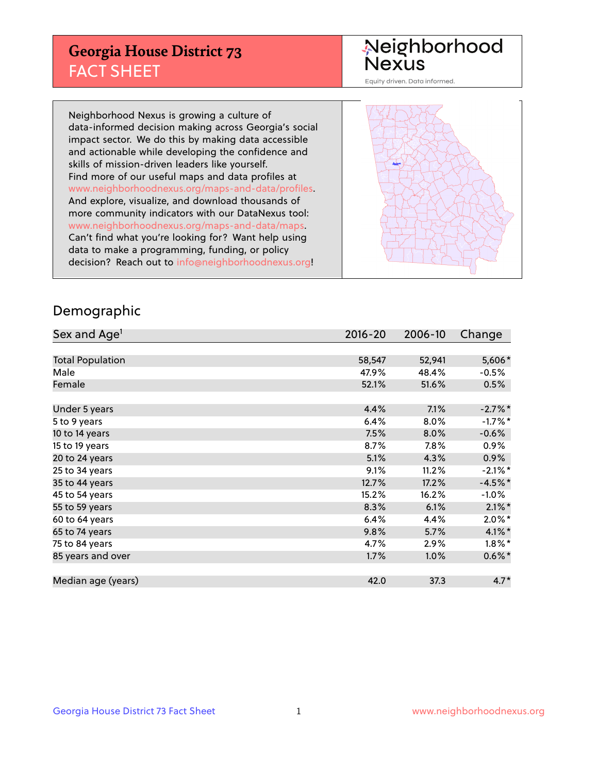## **Georgia House District 73** FACT SHEET

# Neighborhood<br>Nexus

Equity driven. Data informed.

Neighborhood Nexus is growing a culture of data-informed decision making across Georgia's social impact sector. We do this by making data accessible and actionable while developing the confidence and skills of mission-driven leaders like yourself. Find more of our useful maps and data profiles at www.neighborhoodnexus.org/maps-and-data/profiles. And explore, visualize, and download thousands of more community indicators with our DataNexus tool: www.neighborhoodnexus.org/maps-and-data/maps. Can't find what you're looking for? Want help using data to make a programming, funding, or policy decision? Reach out to [info@neighborhoodnexus.org!](mailto:info@neighborhoodnexus.org)



### Demographic

| Sex and Age <sup>1</sup> | $2016 - 20$ | 2006-10 | Change     |
|--------------------------|-------------|---------|------------|
|                          |             |         |            |
| <b>Total Population</b>  | 58,547      | 52,941  | 5,606*     |
| Male                     | 47.9%       | 48.4%   | $-0.5%$    |
| Female                   | 52.1%       | 51.6%   | 0.5%       |
|                          |             |         |            |
| Under 5 years            | 4.4%        | 7.1%    | $-2.7%$ *  |
| 5 to 9 years             | 6.4%        | 8.0%    | $-1.7%$ *  |
| 10 to 14 years           | 7.5%        | 8.0%    | $-0.6%$    |
| 15 to 19 years           | 8.7%        | $7.8\%$ | $0.9\%$    |
| 20 to 24 years           | 5.1%        | 4.3%    | 0.9%       |
| 25 to 34 years           | 9.1%        | 11.2%   | $-2.1\%$ * |
| 35 to 44 years           | 12.7%       | 17.2%   | $-4.5%$ *  |
| 45 to 54 years           | 15.2%       | 16.2%   | $-1.0\%$   |
| 55 to 59 years           | 8.3%        | 6.1%    | $2.1\%$ *  |
| 60 to 64 years           | 6.4%        | 4.4%    | $2.0\%$ *  |
| 65 to 74 years           | 9.8%        | 5.7%    | $4.1\%$ *  |
| 75 to 84 years           | 4.7%        | 2.9%    | $1.8\%$ *  |
| 85 years and over        | 1.7%        | 1.0%    | $0.6\%$ *  |
|                          |             |         |            |
| Median age (years)       | 42.0        | 37.3    | $4.7*$     |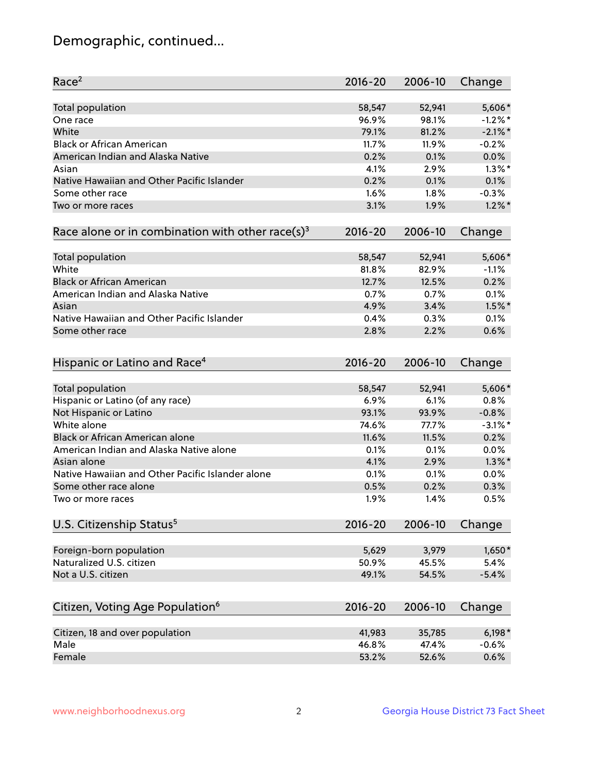## Demographic, continued...

| Race <sup>2</sup>                                            | $2016 - 20$ | 2006-10 | Change     |
|--------------------------------------------------------------|-------------|---------|------------|
| <b>Total population</b>                                      | 58,547      | 52,941  | 5,606*     |
| One race                                                     | 96.9%       | 98.1%   | $-1.2%$ *  |
| White                                                        | 79.1%       | 81.2%   | $-2.1\%$ * |
| <b>Black or African American</b>                             | 11.7%       | 11.9%   | $-0.2%$    |
| American Indian and Alaska Native                            | 0.2%        | 0.1%    | 0.0%       |
| Asian                                                        | 4.1%        | 2.9%    | $1.3\%$ *  |
| Native Hawaiian and Other Pacific Islander                   | 0.2%        | 0.1%    | 0.1%       |
| Some other race                                              | 1.6%        | 1.8%    | $-0.3%$    |
| Two or more races                                            | 3.1%        | 1.9%    | $1.2\%$ *  |
| Race alone or in combination with other race(s) <sup>3</sup> | $2016 - 20$ | 2006-10 | Change     |
| Total population                                             | 58,547      | 52,941  | 5,606*     |
| White                                                        | 81.8%       | 82.9%   | $-1.1%$    |
| <b>Black or African American</b>                             | 12.7%       | 12.5%   | 0.2%       |
| American Indian and Alaska Native                            | 0.7%        | 0.7%    | 0.1%       |
| Asian                                                        | 4.9%        | 3.4%    | $1.5\%$ *  |
| Native Hawaiian and Other Pacific Islander                   | 0.4%        | 0.3%    | 0.1%       |
| Some other race                                              | 2.8%        | 2.2%    | 0.6%       |
| Hispanic or Latino and Race <sup>4</sup>                     | $2016 - 20$ | 2006-10 | Change     |
| <b>Total population</b>                                      | 58,547      | 52,941  | 5,606*     |
| Hispanic or Latino (of any race)                             | 6.9%        | 6.1%    | 0.8%       |
| Not Hispanic or Latino                                       | 93.1%       | 93.9%   | $-0.8%$    |
| White alone                                                  | 74.6%       | 77.7%   | $-3.1\%$ * |
| <b>Black or African American alone</b>                       | 11.6%       | 11.5%   | 0.2%       |
| American Indian and Alaska Native alone                      | 0.1%        | 0.1%    | 0.0%       |
| Asian alone                                                  | 4.1%        | 2.9%    | $1.3\%$ *  |
| Native Hawaiian and Other Pacific Islander alone             | 0.1%        | 0.1%    | 0.0%       |
| Some other race alone                                        | 0.5%        | 0.2%    | 0.3%       |
| Two or more races                                            | 1.9%        | 1.4%    | 0.5%       |
| U.S. Citizenship Status <sup>5</sup>                         | $2016 - 20$ | 2006-10 | Change     |
| Foreign-born population                                      | 5,629       | 3,979   | $1,650*$   |
| Naturalized U.S. citizen                                     | 50.9%       | 45.5%   | 5.4%       |
| Not a U.S. citizen                                           | 49.1%       | 54.5%   | $-5.4%$    |
|                                                              |             |         |            |
| Citizen, Voting Age Population <sup>6</sup>                  | $2016 - 20$ | 2006-10 | Change     |
| Citizen, 18 and over population                              | 41,983      | 35,785  | $6,198*$   |
| Male                                                         | 46.8%       | 47.4%   | $-0.6%$    |
| Female                                                       | 53.2%       | 52.6%   | 0.6%       |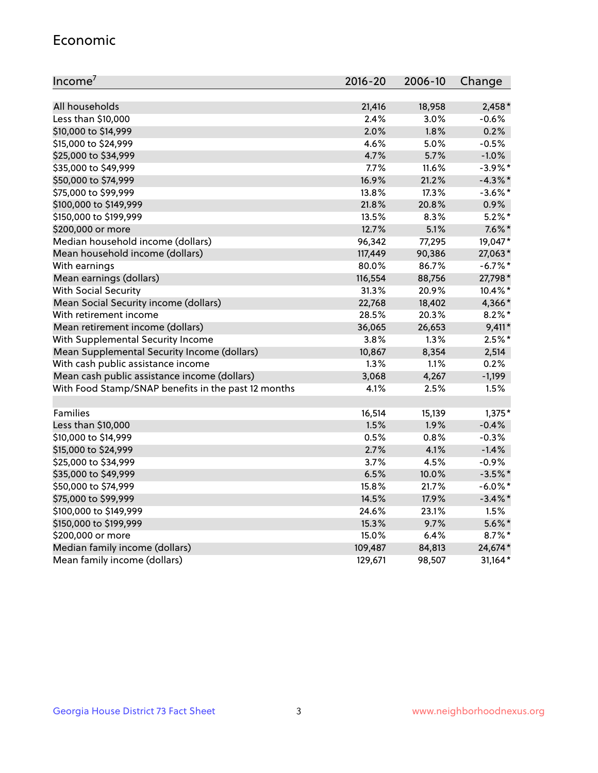#### Economic

| Income <sup>7</sup>                                 | $2016 - 20$ | 2006-10 | Change     |
|-----------------------------------------------------|-------------|---------|------------|
|                                                     |             |         |            |
| All households                                      | 21,416      | 18,958  | $2,458*$   |
| Less than \$10,000                                  | 2.4%        | 3.0%    | $-0.6%$    |
| \$10,000 to \$14,999                                | 2.0%        | 1.8%    | 0.2%       |
| \$15,000 to \$24,999                                | 4.6%        | 5.0%    | $-0.5%$    |
| \$25,000 to \$34,999                                | 4.7%        | 5.7%    | $-1.0%$    |
| \$35,000 to \$49,999                                | 7.7%        | 11.6%   | $-3.9%$ *  |
| \$50,000 to \$74,999                                | 16.9%       | 21.2%   | $-4.3\%$ * |
| \$75,000 to \$99,999                                | 13.8%       | 17.3%   | $-3.6\%$ * |
| \$100,000 to \$149,999                              | 21.8%       | 20.8%   | 0.9%       |
| \$150,000 to \$199,999                              | 13.5%       | 8.3%    | $5.2\%$ *  |
| \$200,000 or more                                   | 12.7%       | 5.1%    | $7.6\%$ *  |
| Median household income (dollars)                   | 96,342      | 77,295  | 19,047*    |
| Mean household income (dollars)                     | 117,449     | 90,386  | 27,063*    |
| With earnings                                       | 80.0%       | 86.7%   | $-6.7\%$ * |
| Mean earnings (dollars)                             | 116,554     | 88,756  | 27,798*    |
| <b>With Social Security</b>                         | 31.3%       | 20.9%   | $10.4\%$ * |
| Mean Social Security income (dollars)               | 22,768      | 18,402  | 4,366*     |
| With retirement income                              | 28.5%       | 20.3%   | $8.2\%$ *  |
| Mean retirement income (dollars)                    | 36,065      | 26,653  | $9,411*$   |
| With Supplemental Security Income                   | 3.8%        | $1.3\%$ | $2.5%$ *   |
| Mean Supplemental Security Income (dollars)         | 10,867      | 8,354   | 2,514      |
| With cash public assistance income                  | 1.3%        | 1.1%    | 0.2%       |
| Mean cash public assistance income (dollars)        | 3,068       | 4,267   | $-1,199$   |
| With Food Stamp/SNAP benefits in the past 12 months | 4.1%        | 2.5%    | 1.5%       |
|                                                     |             |         |            |
| Families                                            | 16,514      | 15,139  | $1,375*$   |
| Less than \$10,000                                  | 1.5%        | 1.9%    | $-0.4%$    |
| \$10,000 to \$14,999                                | 0.5%        | 0.8%    | $-0.3%$    |
| \$15,000 to \$24,999                                | 2.7%        | 4.1%    | $-1.4%$    |
| \$25,000 to \$34,999                                | 3.7%        | 4.5%    | $-0.9%$    |
| \$35,000 to \$49,999                                | 6.5%        | 10.0%   | $-3.5%$ *  |
| \$50,000 to \$74,999                                | 15.8%       | 21.7%   | $-6.0\%$ * |
| \$75,000 to \$99,999                                | 14.5%       | 17.9%   | $-3.4\%$ * |
| \$100,000 to \$149,999                              | 24.6%       | 23.1%   | 1.5%       |
| \$150,000 to \$199,999                              | 15.3%       | 9.7%    | $5.6\%$ *  |
| \$200,000 or more                                   | 15.0%       | 6.4%    | $8.7\%$ *  |
| Median family income (dollars)                      | 109,487     | 84,813  | 24,674*    |
| Mean family income (dollars)                        | 129,671     | 98,507  | 31,164*    |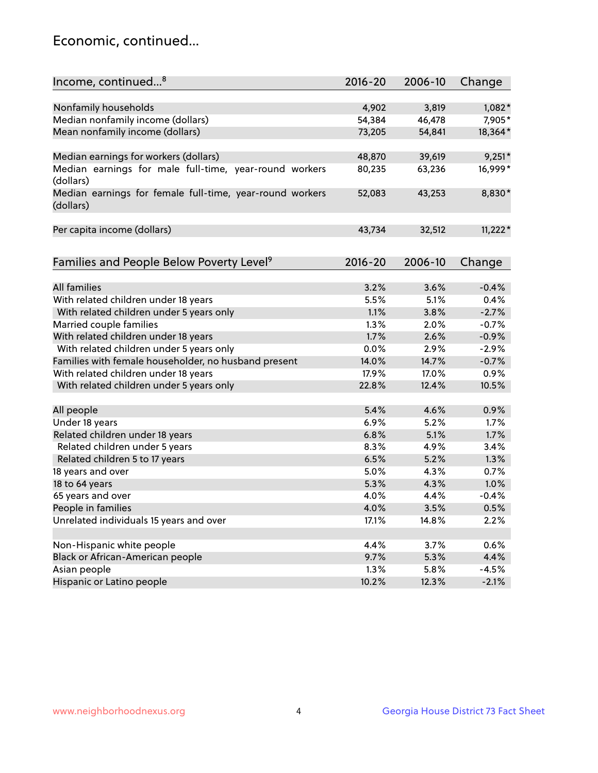## Economic, continued...

| Income, continued <sup>8</sup>                                                   | 2016-20 | 2006-10 | Change          |
|----------------------------------------------------------------------------------|---------|---------|-----------------|
|                                                                                  |         |         |                 |
| Nonfamily households                                                             | 4,902   | 3,819   | $1,082*$        |
| Median nonfamily income (dollars)                                                | 54,384  | 46,478  | 7,905*          |
| Mean nonfamily income (dollars)                                                  | 73,205  | 54,841  | 18,364*         |
|                                                                                  |         |         |                 |
| Median earnings for workers (dollars)                                            | 48,870  | 39,619  | $9,251*$        |
| Median earnings for male full-time, year-round workers                           | 80,235  | 63,236  | 16,999*         |
| (dollars)                                                                        |         |         |                 |
| Median earnings for female full-time, year-round workers                         | 52,083  | 43,253  | 8,830*          |
| (dollars)                                                                        |         |         |                 |
|                                                                                  |         |         |                 |
| Per capita income (dollars)                                                      | 43,734  | 32,512  | $11,222*$       |
|                                                                                  |         |         |                 |
|                                                                                  | 2016-20 | 2006-10 |                 |
| Families and People Below Poverty Level <sup>9</sup>                             |         |         | Change          |
| <b>All families</b>                                                              | 3.2%    | 3.6%    | $-0.4%$         |
|                                                                                  | 5.5%    | 5.1%    | 0.4%            |
| With related children under 18 years<br>With related children under 5 years only | 1.1%    | 3.8%    | $-2.7%$         |
| Married couple families                                                          | 1.3%    | 2.0%    | $-0.7%$         |
| With related children under 18 years                                             | 1.7%    | 2.6%    | $-0.9%$         |
|                                                                                  | 0.0%    | 2.9%    | $-2.9%$         |
| With related children under 5 years only                                         | 14.0%   | 14.7%   |                 |
| Families with female householder, no husband present                             | 17.9%   | 17.0%   | $-0.7%$<br>0.9% |
| With related children under 18 years                                             |         |         |                 |
| With related children under 5 years only                                         | 22.8%   | 12.4%   | 10.5%           |
| All people                                                                       | 5.4%    | 4.6%    | 0.9%            |
| Under 18 years                                                                   | 6.9%    | 5.2%    | 1.7%            |
| Related children under 18 years                                                  | 6.8%    | 5.1%    | 1.7%            |
| Related children under 5 years                                                   | 8.3%    | 4.9%    | 3.4%            |
| Related children 5 to 17 years                                                   | 6.5%    | 5.2%    | 1.3%            |
| 18 years and over                                                                | 5.0%    | 4.3%    | 0.7%            |
| 18 to 64 years                                                                   | 5.3%    | 4.3%    | 1.0%            |
| 65 years and over                                                                | 4.0%    | 4.4%    | $-0.4%$         |
| People in families                                                               | 4.0%    | 3.5%    | 0.5%            |
| Unrelated individuals 15 years and over                                          | 17.1%   | 14.8%   | 2.2%            |
|                                                                                  |         |         |                 |
| Non-Hispanic white people                                                        | 4.4%    | 3.7%    | 0.6%            |
| Black or African-American people                                                 | 9.7%    | 5.3%    | 4.4%            |
| Asian people                                                                     | 1.3%    | 5.8%    | $-4.5%$         |
| Hispanic or Latino people                                                        | 10.2%   | 12.3%   | $-2.1%$         |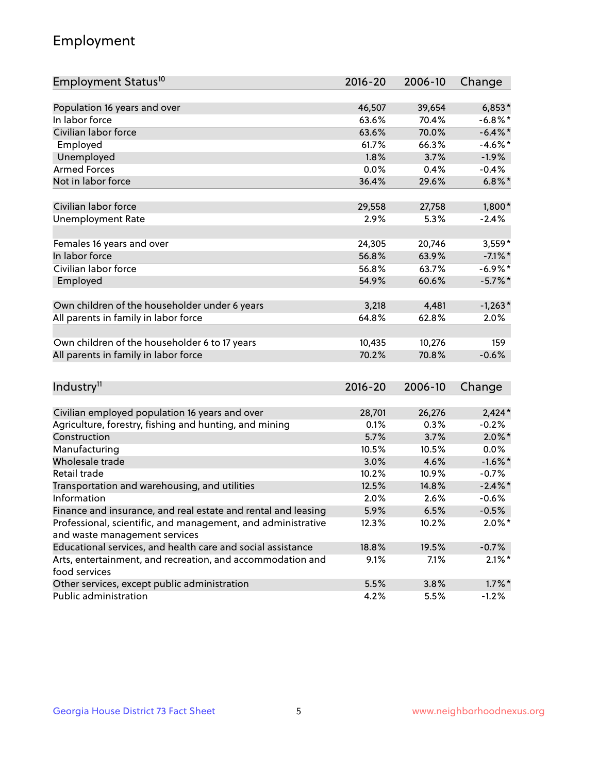## Employment

| Employment Status <sup>10</sup>                                             | $2016 - 20$ | 2006-10 | Change     |
|-----------------------------------------------------------------------------|-------------|---------|------------|
|                                                                             |             |         |            |
| Population 16 years and over                                                | 46,507      | 39,654  | $6,853*$   |
| In labor force                                                              | 63.6%       | 70.4%   | $-6.8\%$ * |
| Civilian labor force                                                        | 63.6%       | 70.0%   | $-6.4\%$ * |
| Employed                                                                    | 61.7%       | 66.3%   | $-4.6\%$ * |
| Unemployed                                                                  | 1.8%        | 3.7%    | $-1.9%$    |
| <b>Armed Forces</b>                                                         | 0.0%        | 0.4%    | $-0.4%$    |
| Not in labor force                                                          | 36.4%       | 29.6%   | $6.8\%$ *  |
| Civilian labor force                                                        | 29,558      | 27,758  | $1,800*$   |
| <b>Unemployment Rate</b>                                                    | 2.9%        | 5.3%    | $-2.4%$    |
|                                                                             |             |         |            |
| Females 16 years and over                                                   | 24,305      | 20,746  | $3,559*$   |
| In labor force                                                              | 56.8%       | 63.9%   | $-7.1\%$ * |
| Civilian labor force                                                        | 56.8%       | 63.7%   | $-6.9\%$ * |
| Employed                                                                    | 54.9%       | 60.6%   | $-5.7\%$ * |
| Own children of the householder under 6 years                               | 3,218       | 4,481   | $-1,263*$  |
| All parents in family in labor force                                        | 64.8%       | 62.8%   | 2.0%       |
|                                                                             |             |         |            |
| Own children of the householder 6 to 17 years                               | 10,435      | 10,276  | 159        |
| All parents in family in labor force                                        | 70.2%       | 70.8%   | $-0.6%$    |
|                                                                             |             |         |            |
| Industry <sup>11</sup>                                                      | $2016 - 20$ | 2006-10 | Change     |
|                                                                             |             |         |            |
| Civilian employed population 16 years and over                              | 28,701      | 26,276  | $2,424*$   |
| Agriculture, forestry, fishing and hunting, and mining                      | 0.1%        | 0.3%    | $-0.2%$    |
| Construction                                                                | 5.7%        | 3.7%    | $2.0\%$ *  |
| Manufacturing                                                               | 10.5%       | 10.5%   | 0.0%       |
| Wholesale trade                                                             | 3.0%        | 4.6%    | $-1.6\%$ * |
| Retail trade                                                                | 10.2%       | 10.9%   | $-0.7%$    |
| Transportation and warehousing, and utilities                               | 12.5%       | 14.8%   | $-2.4\%$ * |
| Information                                                                 | 2.0%        | 2.6%    | $-0.6%$    |
| Finance and insurance, and real estate and rental and leasing               | 5.9%        | 6.5%    | $-0.5%$    |
| Professional, scientific, and management, and administrative                | 12.3%       | 10.2%   | $2.0\%$ *  |
| and waste management services                                               |             |         |            |
| Educational services, and health care and social assistance                 | 18.8%       | 19.5%   | $-0.7%$    |
| Arts, entertainment, and recreation, and accommodation and<br>food services | 9.1%        | 7.1%    | $2.1\%$ *  |
| Other services, except public administration                                | 5.5%        | 3.8%    | $1.7\%$ *  |
| Public administration                                                       | 4.2%        | 5.5%    | $-1.2%$    |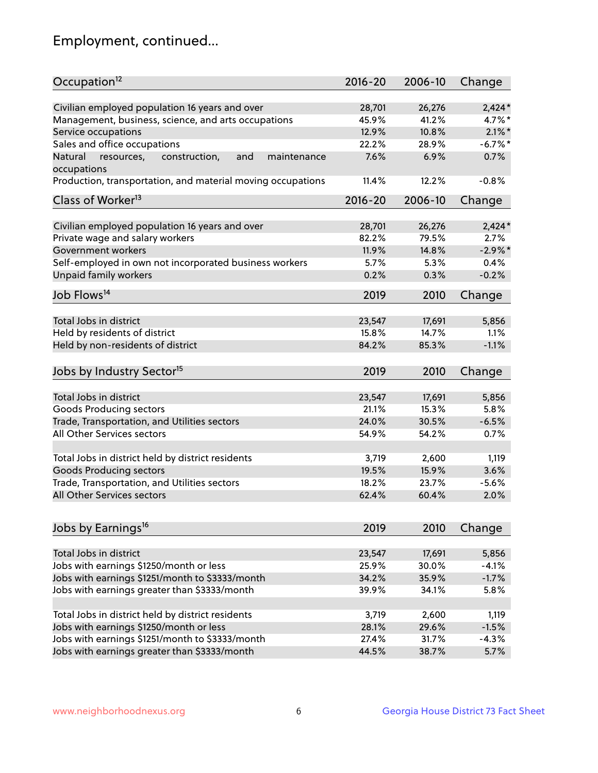## Employment, continued...

| Occupation <sup>12</sup>                                                    | $2016 - 20$ | 2006-10         | Change           |
|-----------------------------------------------------------------------------|-------------|-----------------|------------------|
| Civilian employed population 16 years and over                              | 28,701      | 26,276          | $2,424*$         |
| Management, business, science, and arts occupations                         | 45.9%       | 41.2%           | 4.7%*            |
| Service occupations                                                         | 12.9%       | 10.8%           | $2.1\%$ *        |
| Sales and office occupations                                                | 22.2%       | 28.9%           | $-6.7\%$ *       |
|                                                                             | 7.6%        |                 | 0.7%             |
| Natural<br>and<br>resources,<br>construction,<br>maintenance<br>occupations |             | 6.9%            |                  |
| Production, transportation, and material moving occupations                 | 11.4%       | 12.2%           | $-0.8%$          |
| Class of Worker <sup>13</sup>                                               | $2016 - 20$ | 2006-10         | Change           |
|                                                                             |             |                 |                  |
| Civilian employed population 16 years and over                              | 28,701      | 26,276          | $2,424*$         |
| Private wage and salary workers                                             | 82.2%       | 79.5%           | 2.7%             |
| Government workers                                                          | 11.9%       | 14.8%           | $-2.9%$ *        |
| Self-employed in own not incorporated business workers                      | 5.7%        | 5.3%            | 0.4%             |
| Unpaid family workers                                                       | 0.2%        | 0.3%            | $-0.2%$          |
| Job Flows <sup>14</sup>                                                     | 2019        | 2010            | Change           |
|                                                                             |             |                 |                  |
| Total Jobs in district                                                      | 23,547      | 17,691          | 5,856            |
| Held by residents of district                                               | 15.8%       | 14.7%           | 1.1%             |
| Held by non-residents of district                                           | 84.2%       | 85.3%           | $-1.1%$          |
| Jobs by Industry Sector <sup>15</sup>                                       | 2019        | 2010            | Change           |
|                                                                             |             |                 |                  |
| Total Jobs in district                                                      | 23,547      | 17,691          | 5,856            |
| Goods Producing sectors                                                     | 21.1%       | 15.3%           | 5.8%             |
| Trade, Transportation, and Utilities sectors                                | 24.0%       | 30.5%           | $-6.5%$          |
| All Other Services sectors                                                  | 54.9%       | 54.2%           | 0.7%             |
| Total Jobs in district held by district residents                           | 3,719       | 2,600           | 1,119            |
| <b>Goods Producing sectors</b>                                              | 19.5%       | 15.9%           | 3.6%             |
| Trade, Transportation, and Utilities sectors                                | 18.2%       | 23.7%           | $-5.6%$          |
| All Other Services sectors                                                  | 62.4%       | 60.4%           | 2.0%             |
|                                                                             |             |                 |                  |
| Jobs by Earnings <sup>16</sup>                                              | 2019        | 2010            | Change           |
|                                                                             |             |                 |                  |
| Total Jobs in district                                                      | 23,547      | 17,691<br>30.0% | 5,856<br>$-4.1%$ |
| Jobs with earnings \$1250/month or less                                     | 25.9%       |                 |                  |
| Jobs with earnings \$1251/month to \$3333/month                             | 34.2%       | 35.9%           | $-1.7%$          |
| Jobs with earnings greater than \$3333/month                                | 39.9%       | 34.1%           | 5.8%             |
| Total Jobs in district held by district residents                           | 3,719       | 2,600           | 1,119            |
| Jobs with earnings \$1250/month or less                                     | 28.1%       | 29.6%           | $-1.5%$          |
| Jobs with earnings \$1251/month to \$3333/month                             | 27.4%       | 31.7%           | $-4.3%$          |
| Jobs with earnings greater than \$3333/month                                | 44.5%       | 38.7%           | 5.7%             |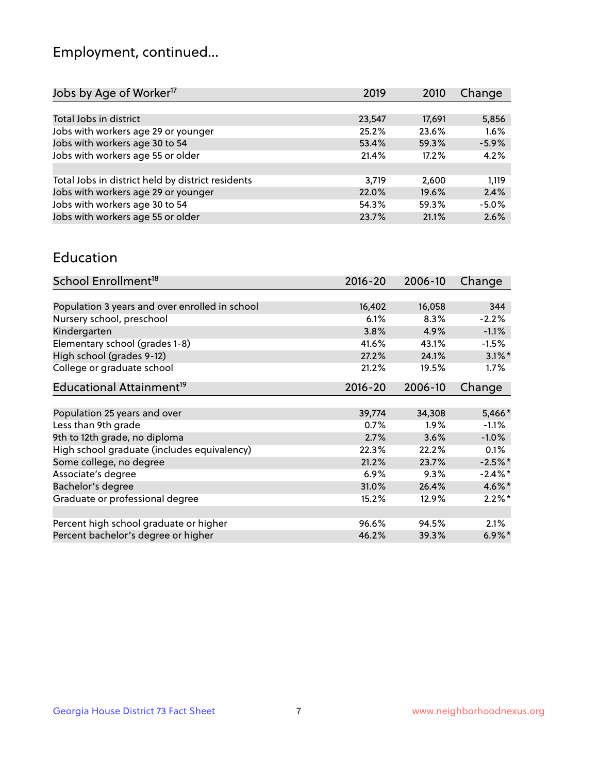## Employment, continued...

| 2019   | 2010   | Change  |
|--------|--------|---------|
|        |        |         |
| 23,547 | 17,691 | 5,856   |
| 25.2%  | 23.6%  | 1.6%    |
| 53.4%  | 59.3%  | $-5.9%$ |
| 21.4%  | 17.2%  | 4.2%    |
|        |        |         |
| 3,719  | 2,600  | 1,119   |
| 22.0%  | 19.6%  | 2.4%    |
| 54.3%  | 59.3%  | $-5.0%$ |
| 23.7%  | 21.1%  | 2.6%    |
|        |        |         |

#### Education

| School Enrollment <sup>18</sup>                | $2016 - 20$ | 2006-10 | Change     |
|------------------------------------------------|-------------|---------|------------|
|                                                |             |         |            |
| Population 3 years and over enrolled in school | 16,402      | 16,058  | 344        |
| Nursery school, preschool                      | 6.1%        | 8.3%    | $-2.2%$    |
| Kindergarten                                   | 3.8%        | 4.9%    | $-1.1%$    |
| Elementary school (grades 1-8)                 | 41.6%       | 43.1%   | $-1.5%$    |
| High school (grades 9-12)                      | 27.2%       | 24.1%   | $3.1\%$ *  |
| College or graduate school                     | 21.2%       | 19.5%   | $1.7\%$    |
| Educational Attainment <sup>19</sup>           | $2016 - 20$ | 2006-10 | Change     |
|                                                |             |         |            |
| Population 25 years and over                   | 39,774      | 34,308  | 5,466*     |
| Less than 9th grade                            | 0.7%        | $1.9\%$ | $-1.1%$    |
| 9th to 12th grade, no diploma                  | 2.7%        | 3.6%    | $-1.0%$    |
| High school graduate (includes equivalency)    | 22.3%       | 22.2%   | $0.1\%$    |
| Some college, no degree                        | 21.2%       | 23.7%   | $-2.5%$ *  |
| Associate's degree                             | 6.9%        | 9.3%    | $-2.4\%$ * |
| Bachelor's degree                              | 31.0%       | 26.4%   | 4.6%*      |
| Graduate or professional degree                | 15.2%       | 12.9%   | $2.2\%$ *  |
|                                                |             |         |            |
| Percent high school graduate or higher         | 96.6%       | 94.5%   | 2.1%       |
| Percent bachelor's degree or higher            | 46.2%       | 39.3%   | $6.9\%$ *  |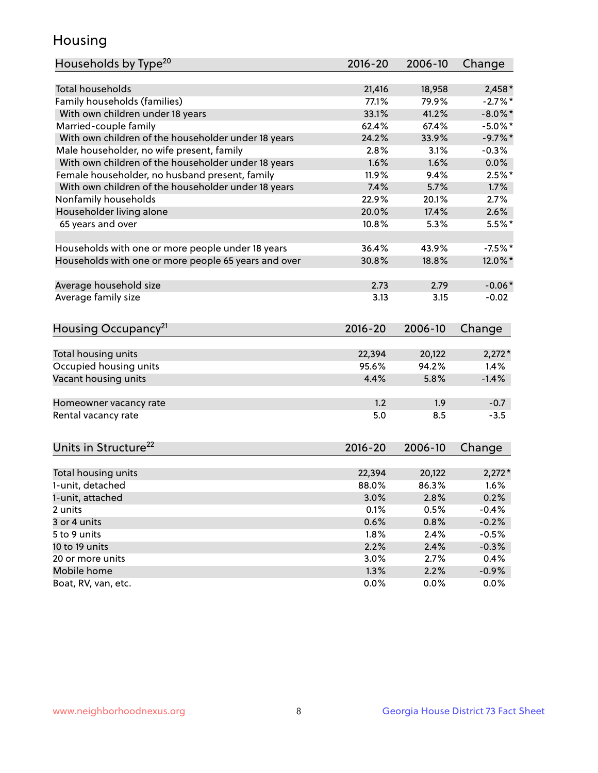## Housing

| Households by Type <sup>20</sup>                     | 2016-20     | 2006-10 | Change     |
|------------------------------------------------------|-------------|---------|------------|
|                                                      |             |         |            |
| Total households                                     | 21,416      | 18,958  | $2,458*$   |
| Family households (families)                         | 77.1%       | 79.9%   | $-2.7%$ *  |
| With own children under 18 years                     | 33.1%       | 41.2%   | $-8.0\%$ * |
| Married-couple family                                | 62.4%       | 67.4%   | $-5.0\%$ * |
| With own children of the householder under 18 years  | 24.2%       | 33.9%   | $-9.7\%$ * |
| Male householder, no wife present, family            | 2.8%        | 3.1%    | $-0.3%$    |
| With own children of the householder under 18 years  | 1.6%        | 1.6%    | 0.0%       |
| Female householder, no husband present, family       | 11.9%       | 9.4%    | $2.5%$ *   |
| With own children of the householder under 18 years  | 7.4%        | 5.7%    | 1.7%       |
| Nonfamily households                                 | 22.9%       | 20.1%   | 2.7%       |
| Householder living alone                             | 20.0%       | 17.4%   | 2.6%       |
| 65 years and over                                    | 10.8%       | 5.3%    | $5.5%$ *   |
| Households with one or more people under 18 years    | 36.4%       | 43.9%   | $-7.5%$ *  |
| Households with one or more people 65 years and over | 30.8%       | 18.8%   | 12.0%*     |
| Average household size                               | 2.73        | 2.79    | $-0.06*$   |
| Average family size                                  | 3.13        | 3.15    | $-0.02$    |
|                                                      |             |         |            |
| Housing Occupancy <sup>21</sup>                      | $2016 - 20$ | 2006-10 | Change     |
|                                                      |             |         |            |
| Total housing units                                  | 22,394      | 20,122  | $2,272*$   |
| Occupied housing units                               | 95.6%       | 94.2%   | 1.4%       |
| Vacant housing units                                 | 4.4%        | 5.8%    | $-1.4%$    |
| Homeowner vacancy rate                               | 1.2         | 1.9     | $-0.7$     |
| Rental vacancy rate                                  | 5.0         | 8.5     | $-3.5$     |
|                                                      |             |         |            |
| Units in Structure <sup>22</sup>                     | 2016-20     | 2006-10 | Change     |
| Total housing units                                  | 22,394      | 20,122  | $2,272*$   |
| 1-unit, detached                                     | 88.0%       | 86.3%   | 1.6%       |
| 1-unit, attached                                     | 3.0%        | 2.8%    | 0.2%       |
| 2 units                                              | 0.1%        | 0.5%    | $-0.4%$    |
| 3 or 4 units                                         | 0.6%        | 0.8%    | $-0.2%$    |
| 5 to 9 units                                         | 1.8%        | 2.4%    | $-0.5%$    |
| 10 to 19 units                                       | 2.2%        | 2.4%    | $-0.3%$    |
| 20 or more units                                     | 3.0%        | 2.7%    | 0.4%       |
| Mobile home                                          | 1.3%        | 2.2%    | $-0.9%$    |
| Boat, RV, van, etc.                                  | 0.0%        | $0.0\%$ | 0.0%       |
|                                                      |             |         |            |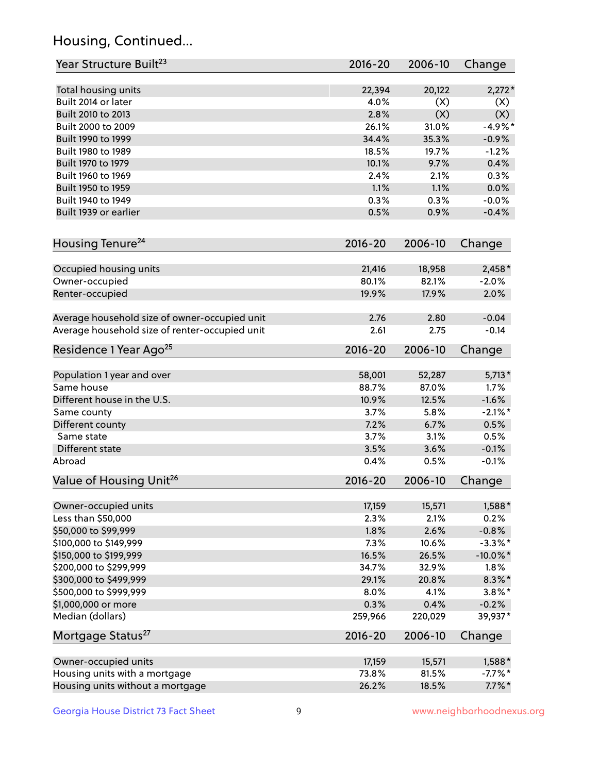## Housing, Continued...

| Year Structure Built <sup>23</sup>               | 2016-20        | 2006-10        | Change              |
|--------------------------------------------------|----------------|----------------|---------------------|
| Total housing units                              | 22,394         | 20,122         | $2,272*$            |
| Built 2014 or later                              | 4.0%           | (X)            | (X)                 |
| Built 2010 to 2013                               | 2.8%           | (X)            | (X)                 |
| Built 2000 to 2009                               | 26.1%          | 31.0%          | $-4.9%$ *           |
| Built 1990 to 1999                               | 34.4%          | 35.3%          | $-0.9%$             |
| Built 1980 to 1989                               | 18.5%          | 19.7%          | $-1.2%$             |
| Built 1970 to 1979                               | 10.1%          | 9.7%           | 0.4%                |
| Built 1960 to 1969                               | 2.4%           | 2.1%           | 0.3%                |
| Built 1950 to 1959                               | 1.1%           | 1.1%           | 0.0%                |
| Built 1940 to 1949                               | 0.3%           | 0.3%           | $-0.0%$             |
| Built 1939 or earlier                            | 0.5%           | 0.9%           | $-0.4%$             |
|                                                  |                |                |                     |
| Housing Tenure <sup>24</sup>                     | $2016 - 20$    | 2006-10        | Change              |
| Occupied housing units                           | 21,416         | 18,958         | $2,458*$            |
| Owner-occupied                                   | 80.1%          | 82.1%          | $-2.0%$             |
| Renter-occupied                                  | 19.9%          | 17.9%          | 2.0%                |
| Average household size of owner-occupied unit    | 2.76           | 2.80           | $-0.04$             |
| Average household size of renter-occupied unit   | 2.61           | 2.75           | $-0.14$             |
| Residence 1 Year Ago <sup>25</sup>               | 2016-20        | 2006-10        | Change              |
| Population 1 year and over                       | 58,001         | 52,287         | $5,713*$            |
| Same house                                       | 88.7%          | 87.0%          | 1.7%                |
| Different house in the U.S.                      | 10.9%          | 12.5%          | $-1.6%$             |
| Same county                                      | 3.7%           | 5.8%           | $-2.1\%$ *          |
| Different county                                 | 7.2%           | 6.7%           | 0.5%                |
| Same state                                       | 3.7%           | 3.1%           | 0.5%                |
| Different state                                  | 3.5%           | 3.6%           | $-0.1%$             |
| Abroad                                           | 0.4%           | 0.5%           | $-0.1%$             |
| Value of Housing Unit <sup>26</sup>              | $2016 - 20$    | 2006-10        | Change              |
|                                                  | 17,159         |                |                     |
| Owner-occupied units                             |                | 15,571         | 1,588*              |
| Less than \$50,000                               | 2.3%           | 2.1%           | 0.2%                |
| \$50,000 to \$99,999                             | 1.8%           | 2.6%           | $-0.8%$             |
| \$100,000 to \$149,999                           | 7.3%<br>16.5%  | 10.6%<br>26.5% | $-3.3\%$ *          |
| \$150,000 to \$199,999<br>\$200,000 to \$299,999 |                | 32.9%          | $-10.0\%$ *<br>1.8% |
| \$300,000 to \$499,999                           | 34.7%<br>29.1% | 20.8%          | $8.3\% *$           |
| \$500,000 to \$999,999                           | 8.0%           | 4.1%           | $3.8\%$ *           |
| \$1,000,000 or more                              | 0.3%           | 0.4%           | $-0.2%$             |
| Median (dollars)                                 | 259,966        | 220,029        | 39,937*             |
| Mortgage Status <sup>27</sup>                    | $2016 - 20$    | 2006-10        | Change              |
|                                                  |                |                |                     |
| Owner-occupied units                             | 17,159         | 15,571         | $1,588*$            |
| Housing units with a mortgage                    | 73.8%          | 81.5%          | $-7.7%$ *           |
| Housing units without a mortgage                 | 26.2%          | 18.5%          | $7.7\%$ *           |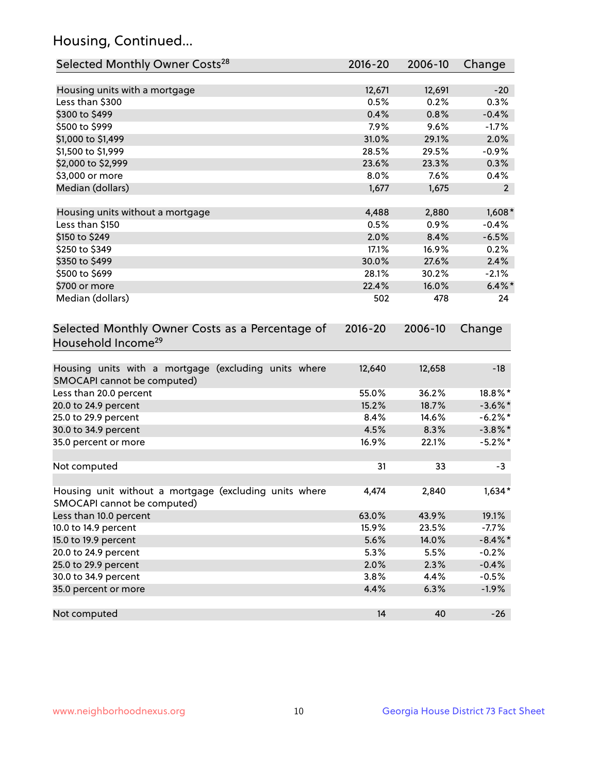## Housing, Continued...

| Selected Monthly Owner Costs <sup>28</sup>                                            | 2016-20     | 2006-10 | Change         |
|---------------------------------------------------------------------------------------|-------------|---------|----------------|
| Housing units with a mortgage                                                         | 12,671      | 12,691  | $-20$          |
| Less than \$300                                                                       | 0.5%        | 0.2%    | 0.3%           |
| \$300 to \$499                                                                        | 0.4%        | 0.8%    | $-0.4%$        |
| \$500 to \$999                                                                        | 7.9%        | 9.6%    | $-1.7%$        |
| \$1,000 to \$1,499                                                                    | 31.0%       | 29.1%   | 2.0%           |
| \$1,500 to \$1,999                                                                    | 28.5%       | 29.5%   | $-0.9%$        |
| \$2,000 to \$2,999                                                                    | 23.6%       | 23.3%   | 0.3%           |
| \$3,000 or more                                                                       | 8.0%        | 7.6%    | 0.4%           |
| Median (dollars)                                                                      | 1,677       | 1,675   | $\overline{2}$ |
|                                                                                       |             |         |                |
| Housing units without a mortgage                                                      | 4,488       | 2,880   | $1,608*$       |
| Less than \$150                                                                       | 0.5%        | 0.9%    | $-0.4%$        |
| \$150 to \$249                                                                        | 2.0%        | 8.4%    | $-6.5%$        |
| \$250 to \$349                                                                        | 17.1%       | 16.9%   | 0.2%           |
| \$350 to \$499                                                                        | 30.0%       | 27.6%   | 2.4%           |
| \$500 to \$699                                                                        | 28.1%       | 30.2%   | $-2.1%$        |
| \$700 or more                                                                         | 22.4%       | 16.0%   | $6.4\%$ *      |
| Median (dollars)                                                                      | 502         | 478     | 24             |
| Selected Monthly Owner Costs as a Percentage of<br>Household Income <sup>29</sup>     | $2016 - 20$ | 2006-10 | Change         |
| Housing units with a mortgage (excluding units where<br>SMOCAPI cannot be computed)   | 12,640      | 12,658  | $-18$          |
| Less than 20.0 percent                                                                | 55.0%       | 36.2%   | 18.8%*         |
| 20.0 to 24.9 percent                                                                  | 15.2%       | 18.7%   | $-3.6\%$ *     |
| 25.0 to 29.9 percent                                                                  | 8.4%        | 14.6%   | $-6.2\%$ *     |
| 30.0 to 34.9 percent                                                                  | 4.5%        | 8.3%    | $-3.8\%$ *     |
| 35.0 percent or more                                                                  | 16.9%       | 22.1%   | $-5.2\%$ *     |
| Not computed                                                                          | 31          | 33      | $-3$           |
| Housing unit without a mortgage (excluding units where<br>SMOCAPI cannot be computed) | 4,474       | 2,840   | $1,634*$       |
| Less than 10.0 percent                                                                | 63.0%       | 43.9%   | 19.1%          |
| 10.0 to 14.9 percent                                                                  | 15.9%       | 23.5%   | $-7.7%$        |
| 15.0 to 19.9 percent                                                                  | 5.6%        | 14.0%   | $-8.4\%$ *     |
| 20.0 to 24.9 percent                                                                  | 5.3%        | 5.5%    | $-0.2%$        |
| 25.0 to 29.9 percent                                                                  | 2.0%        | 2.3%    | $-0.4%$        |
| 30.0 to 34.9 percent                                                                  | 3.8%        | 4.4%    | $-0.5%$        |
| 35.0 percent or more                                                                  | 4.4%        | 6.3%    | $-1.9%$        |
| Not computed                                                                          | 14          | 40      | $-26$          |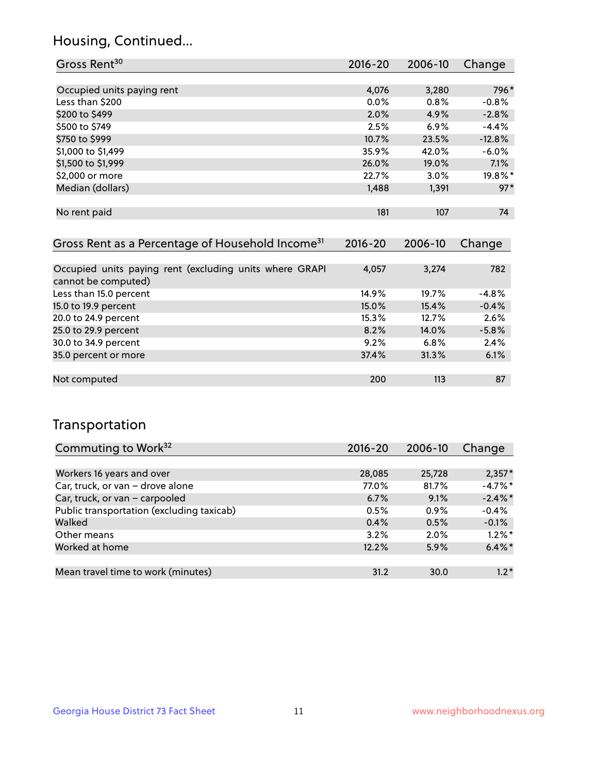## Housing, Continued...

| Gross Rent <sup>30</sup>   | 2016-20 | 2006-10 | Change   |
|----------------------------|---------|---------|----------|
|                            |         |         |          |
| Occupied units paying rent | 4,076   | 3,280   | 796*     |
| Less than \$200            | 0.0%    | 0.8%    | $-0.8%$  |
| \$200 to \$499             | 2.0%    | 4.9%    | $-2.8%$  |
| \$500 to \$749             | 2.5%    | 6.9%    | $-4.4%$  |
| \$750 to \$999             | 10.7%   | 23.5%   | $-12.8%$ |
| \$1,000 to \$1,499         | 35.9%   | 42.0%   | $-6.0%$  |
| \$1,500 to \$1,999         | 26.0%   | 19.0%   | 7.1%     |
| \$2,000 or more            | 22.7%   | 3.0%    | 19.8%*   |
| Median (dollars)           | 1,488   | 1,391   | $97*$    |
|                            |         |         |          |
| No rent paid               | 181     | 107     | 74       |

| Gross Rent as a Percentage of Household Income <sup>31</sup>                   | $2016 - 20$ | 2006-10 | Change  |
|--------------------------------------------------------------------------------|-------------|---------|---------|
|                                                                                |             |         |         |
| Occupied units paying rent (excluding units where GRAPI<br>cannot be computed) | 4,057       | 3,274   | 782     |
| Less than 15.0 percent                                                         | 14.9%       | 19.7%   | $-4.8%$ |
| 15.0 to 19.9 percent                                                           | 15.0%       | 15.4%   | $-0.4%$ |
| 20.0 to 24.9 percent                                                           | 15.3%       | 12.7%   | 2.6%    |
| 25.0 to 29.9 percent                                                           | 8.2%        | 14.0%   | $-5.8%$ |
| 30.0 to 34.9 percent                                                           | 9.2%        | 6.8%    | 2.4%    |
| 35.0 percent or more                                                           | 37.4%       | 31.3%   | 6.1%    |
|                                                                                |             |         |         |
| Not computed                                                                   | 200         | 113     | 87      |

## Transportation

| Commuting to Work <sup>32</sup>           | 2016-20 | 2006-10 | Change     |
|-------------------------------------------|---------|---------|------------|
|                                           |         |         |            |
| Workers 16 years and over                 | 28,085  | 25,728  | $2,357*$   |
| Car, truck, or van - drove alone          | 77.0%   | 81.7%   | $-4.7%$ *  |
| Car, truck, or van - carpooled            | 6.7%    | 9.1%    | $-2.4\%$ * |
| Public transportation (excluding taxicab) | 0.5%    | 0.9%    | $-0.4%$    |
| Walked                                    | 0.4%    | 0.5%    | $-0.1%$    |
| Other means                               | 3.2%    | $2.0\%$ | $1.2\%$ *  |
| Worked at home                            | 12.2%   | 5.9%    | $6.4\%$ *  |
|                                           |         |         |            |
| Mean travel time to work (minutes)        | 31.2    | 30.0    | $1.2*$     |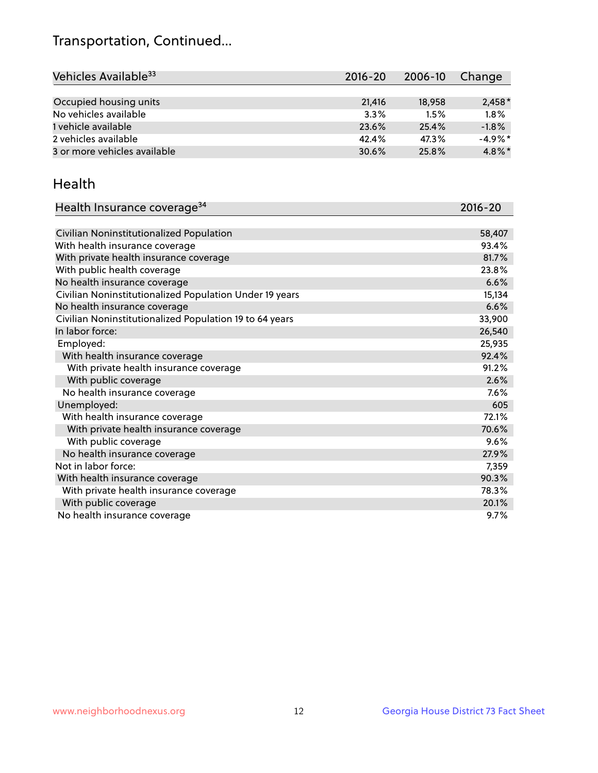## Transportation, Continued...

| Vehicles Available <sup>33</sup> | $2016 - 20$ | 2006-10 | Change     |
|----------------------------------|-------------|---------|------------|
|                                  |             |         |            |
| Occupied housing units           | 21,416      | 18,958  | $2,458*$   |
| No vehicles available            | 3.3%        | 1.5%    | 1.8%       |
| 1 vehicle available              | 23.6%       | 25.4%   | $-1.8%$    |
| 2 vehicles available             | 42.4%       | 47.3%   | $-4.9\%$ * |
| 3 or more vehicles available     | 30.6%       | 25.8%   | $4.8\%$ *  |

#### Health

| Health Insurance coverage <sup>34</sup>                 | 2016-20 |
|---------------------------------------------------------|---------|
|                                                         |         |
| Civilian Noninstitutionalized Population                | 58,407  |
| With health insurance coverage                          | 93.4%   |
| With private health insurance coverage                  | 81.7%   |
| With public health coverage                             | 23.8%   |
| No health insurance coverage                            | 6.6%    |
| Civilian Noninstitutionalized Population Under 19 years | 15,134  |
| No health insurance coverage                            | 6.6%    |
| Civilian Noninstitutionalized Population 19 to 64 years | 33,900  |
| In labor force:                                         | 26,540  |
| Employed:                                               | 25,935  |
| With health insurance coverage                          | 92.4%   |
| With private health insurance coverage                  | 91.2%   |
| With public coverage                                    | 2.6%    |
| No health insurance coverage                            | 7.6%    |
| Unemployed:                                             | 605     |
| With health insurance coverage                          | 72.1%   |
| With private health insurance coverage                  | 70.6%   |
| With public coverage                                    | 9.6%    |
| No health insurance coverage                            | 27.9%   |
| Not in labor force:                                     | 7,359   |
| With health insurance coverage                          | 90.3%   |
| With private health insurance coverage                  | 78.3%   |
| With public coverage                                    | 20.1%   |
| No health insurance coverage                            | 9.7%    |